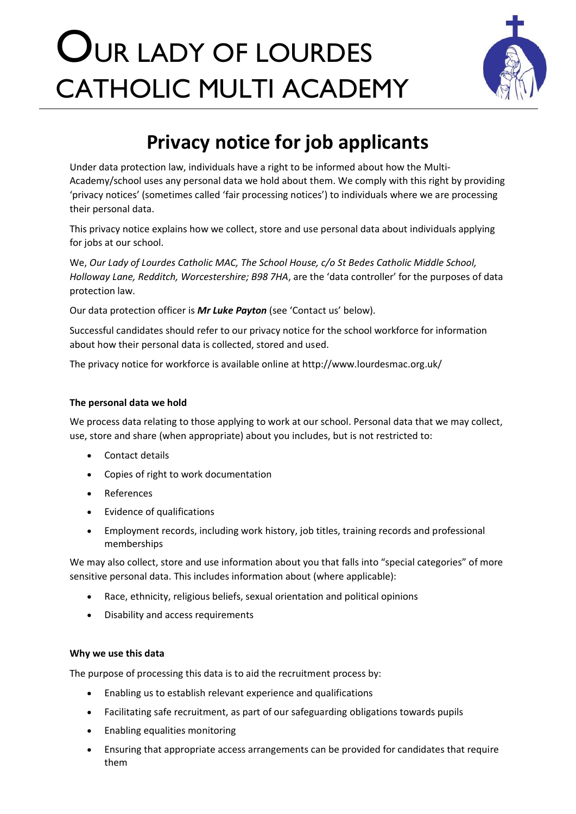# OUR LADY OF LOURDES CATHOLIC MULTI ACADEMY



# **Privacy notice for job applicants**

Under data protection law, individuals have a right to be informed about how the Multi-Academy/school uses any personal data we hold about them. We comply with this right by providing 'privacy notices' (sometimes called 'fair processing notices') to individuals where we are processing their personal data.

This privacy notice explains how we collect, store and use personal data about individuals applying for jobs at our school.

We, *Our Lady of Lourdes Catholic MAC, The School House, c/o St Bedes Catholic Middle School, Holloway Lane, Redditch, Worcestershire; B98 7HA*, are the 'data controller' for the purposes of data protection law.

Our data protection officer is *Mr Luke Payton* (see 'Contact us' below).

Successful candidates should refer to our privacy notice for the school workforce for information about how their personal data is collected, stored and used.

The privacy notice for workforce is available online at http://www.lourdesmac.org.uk/

## **The personal data we hold**

We process data relating to those applying to work at our school. Personal data that we may collect, use, store and share (when appropriate) about you includes, but is not restricted to:

- Contact details
- Copies of right to work documentation
- References
- Evidence of qualifications
- Employment records, including work history, job titles, training records and professional memberships

We may also collect, store and use information about you that falls into "special categories" of more sensitive personal data. This includes information about (where applicable):

- Race, ethnicity, religious beliefs, sexual orientation and political opinions
- Disability and access requirements

### **Why we use this data**

The purpose of processing this data is to aid the recruitment process by:

- Enabling us to establish relevant experience and qualifications
- Facilitating safe recruitment, as part of our safeguarding obligations towards pupils
- Enabling equalities monitoring
- Ensuring that appropriate access arrangements can be provided for candidates that require them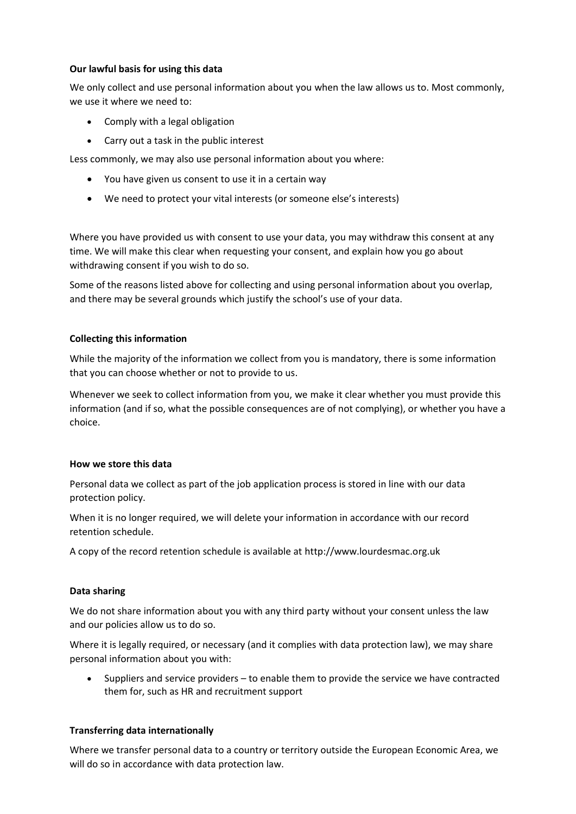#### **Our lawful basis for using this data**

We only collect and use personal information about you when the law allows us to. Most commonly, we use it where we need to:

- Comply with a legal obligation
- Carry out a task in the public interest

Less commonly, we may also use personal information about you where:

- You have given us consent to use it in a certain way
- We need to protect your vital interests (or someone else's interests)

Where you have provided us with consent to use your data, you may withdraw this consent at any time. We will make this clear when requesting your consent, and explain how you go about withdrawing consent if you wish to do so.

Some of the reasons listed above for collecting and using personal information about you overlap, and there may be several grounds which justify the school's use of your data.

#### **Collecting this information**

While the majority of the information we collect from you is mandatory, there is some information that you can choose whether or not to provide to us.

Whenever we seek to collect information from you, we make it clear whether you must provide this information (and if so, what the possible consequences are of not complying), or whether you have a choice.

#### **How we store this data**

Personal data we collect as part of the job application process is stored in line with our data protection policy.

When it is no longer required, we will delete your information in accordance with our record retention schedule.

A copy of the record retention schedule is available at http://www.lourdesmac.org.uk

#### **Data sharing**

We do not share information about you with any third party without your consent unless the law and our policies allow us to do so.

Where it is legally required, or necessary (and it complies with data protection law), we may share personal information about you with:

• Suppliers and service providers – to enable them to provide the service we have contracted them for, such as HR and recruitment support

#### **Transferring data internationally**

Where we transfer personal data to a country or territory outside the European Economic Area, we will do so in accordance with data protection law.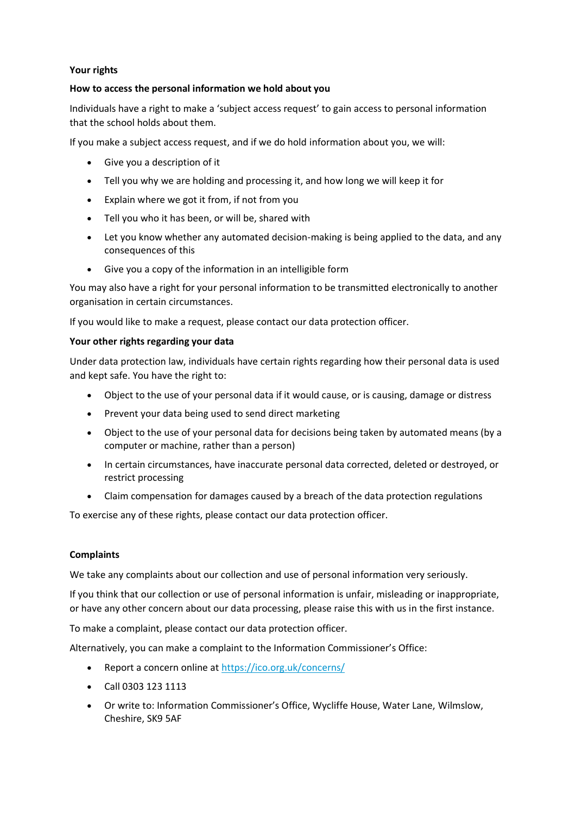#### **Your rights**

#### **How to access the personal information we hold about you**

Individuals have a right to make a 'subject access request' to gain access to personal information that the school holds about them.

If you make a subject access request, and if we do hold information about you, we will:

- Give you a description of it
- Tell you why we are holding and processing it, and how long we will keep it for
- Explain where we got it from, if not from you
- Tell you who it has been, or will be, shared with
- Let you know whether any automated decision-making is being applied to the data, and any consequences of this
- Give you a copy of the information in an intelligible form

You may also have a right for your personal information to be transmitted electronically to another organisation in certain circumstances.

If you would like to make a request, please contact our data protection officer.

#### **Your other rights regarding your data**

Under data protection law, individuals have certain rights regarding how their personal data is used and kept safe. You have the right to:

- Object to the use of your personal data if it would cause, or is causing, damage or distress
- Prevent your data being used to send direct marketing
- Object to the use of your personal data for decisions being taken by automated means (by a computer or machine, rather than a person)
- In certain circumstances, have inaccurate personal data corrected, deleted or destroyed, or restrict processing
- Claim compensation for damages caused by a breach of the data protection regulations

To exercise any of these rights, please contact our data protection officer.

#### **Complaints**

We take any complaints about our collection and use of personal information very seriously.

If you think that our collection or use of personal information is unfair, misleading or inappropriate, or have any other concern about our data processing, please raise this with us in the first instance.

To make a complaint, please contact our data protection officer.

Alternatively, you can make a complaint to the Information Commissioner's Office:

- Report a concern online at<https://ico.org.uk/concerns/>
- Call 0303 123 1113
- Or write to: Information Commissioner's Office, Wycliffe House, Water Lane, Wilmslow, Cheshire, SK9 5AF